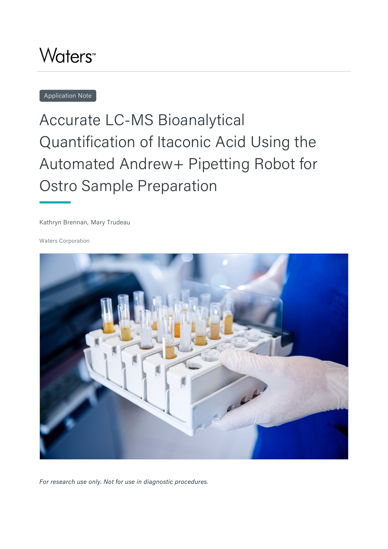## **Waters<sup>™</sup>**

Application Note

# Accurate LC-MS Bioanalytical Quantification of Itaconic Acid Using the Automated Andrew+ Pipetting Robot for Ostro Sample Preparation

Kathryn Brennan, Mary Trudeau

Waters Corporation



*For research use only. Not for use in diagnostic procedures.*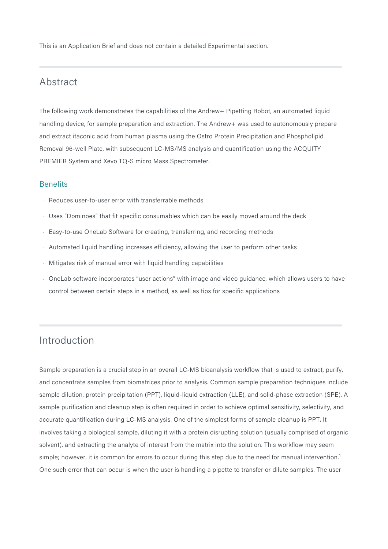This is an Application Brief and does not contain a detailed Experimental section.

#### Abstract

The following work demonstrates the capabilities of the Andrew+ Pipetting Robot, an automated liquid handling device, for sample preparation and extraction. The Andrew+ was used to autonomously prepare and extract itaconic acid from human plasma using the Ostro Protein Precipitation and Phospholipid Removal 96-well Plate, with subsequent LC-MS/MS analysis and quantification using the ACQUITY PREMIER System and Xevo TQ-S micro Mass Spectrometer.

#### **Benefits**

- Reduces user-to-user error with transferrable methods
- $\cdot$  Uses "Dominoes" that fit specific consumables which can be easily moved around the deck
- Basy-to-use OneLab Software for creating, transferring, and recording methods
- Automated liquid handling increases efficiency, allowing the user to perform other tasks
- $\cdot$  Mitigates risk of manual error with liquid handling capabilities
- $\,\cdot\,$  OneLab software incorporates "user actions" with image and video guidance, which allows users to have control between certain steps in a method, as well as tips for specific applications

### Introduction

Sample preparation is a crucial step in an overall LC-MS bioanalysis workflow that is used to extract, purify, and concentrate samples from biomatrices prior to analysis. Common sample preparation techniques include sample dilution, protein precipitation (PPT), liquid-liquid extraction (LLE), and solid-phase extraction (SPE). A sample purification and cleanup step is often required in order to achieve optimal sensitivity, selectivity, and accurate quantification during LC-MS analysis. One of the simplest forms of sample cleanup is PPT. It involves taking a biological sample, diluting it with a protein disrupting solution (usually comprised of organic solvent), and extracting the analyte of interest from the matrix into the solution. This workflow may seem simple; however, it is common for errors to occur during this step due to the need for manual intervention.<sup>1</sup> One such error that can occur is when the user is handling a pipette to transfer or dilute samples. The user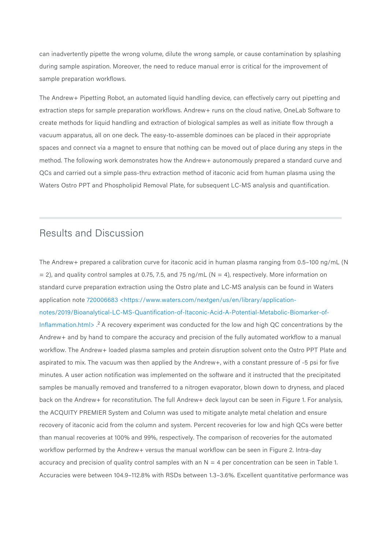can inadvertently pipette the wrong volume, dilute the wrong sample, or cause contamination by splashing during sample aspiration. Moreover, the need to reduce manual error is critical for the improvement of sample preparation workflows.

The Andrew+ Pipetting Robot, an automated liquid handling device, can effectively carry out pipetting and extraction steps for sample preparation workflows. Andrew+ runs on the cloud native, OneLab Software to create methods for liquid handling and extraction of biological samples as well as initiate flow through a vacuum apparatus, all on one deck. The easy-to-assemble dominoes can be placed in their appropriate spaces and connect via a magnet to ensure that nothing can be moved out of place during any steps in the method. The following work demonstrates how the Andrew+ autonomously prepared a standard curve and QCs and carried out a simple pass-thru extraction method of itaconic acid from human plasma using the Waters Ostro PPT and Phospholipid Removal Plate, for subsequent LC-MS analysis and quantification.

#### Results and Discussion

The Andrew+ prepared a calibration curve for itaconic acid in human plasma ranging from 0.5–100 ng/mL (N  $= 2$ ), and quality control samples at 0.75, 7.5, and 75 ng/mL (N = 4), respectively. More information on standard curve preparation extraction using the Ostro plate and LC-MS analysis can be found in Waters application note [720006683 <https://www.waters.com/nextgen/us/en/library/application](https://www.waters.com/nextgen/us/en/library/application-notes/2019/Bioanalytical-LC-MS-Quantification-of-Itaconic-Acid-A-Potential-Metabolic-Biomarker-of-Inflammation.html)[notes/2019/Bioanalytical-LC-MS-Quantification-of-Itaconic-Acid-A-Potential-Metabolic-Biomarker-of-](https://www.waters.com/nextgen/us/en/library/application-notes/2019/Bioanalytical-LC-MS-Quantification-of-Itaconic-Acid-A-Potential-Metabolic-Biomarker-of-Inflammation.html)[Inflammation.html> .](https://www.waters.com/nextgen/us/en/library/application-notes/2019/Bioanalytical-LC-MS-Quantification-of-Itaconic-Acid-A-Potential-Metabolic-Biomarker-of-Inflammation.html) <sup>2</sup>A recovery experiment was conducted for the low and high QC concentrations by the Andrew+ and by hand to compare the accuracy and precision of the fully automated workflow to a manual workflow. The Andrew+ loaded plasma samples and protein disruption solvent onto the Ostro PPT Plate and aspirated to mix. The vacuum was then applied by the Andrew+, with a constant pressure of -5 psi for five minutes. A user action notification was implemented on the software and it instructed that the precipitated samples be manually removed and transferred to a nitrogen evaporator, blown down to dryness, and placed back on the Andrew+ for reconstitution. The full Andrew+ deck layout can be seen in Figure 1. For analysis, the ACQUITY PREMIER System and Column was used to mitigate analyte metal chelation and ensure recovery of itaconic acid from the column and system. Percent recoveries for low and high QCs were better than manual recoveries at 100% and 99%, respectively. The comparison of recoveries for the automated workflow performed by the Andrew+ versus the manual workflow can be seen in Figure 2. Intra-day accuracy and precision of quality control samples with an  $N = 4$  per concentration can be seen in Table 1. Accuracies were between 104.9–112.8% with RSDs between 1.3–3.6%. Excellent quantitative performance was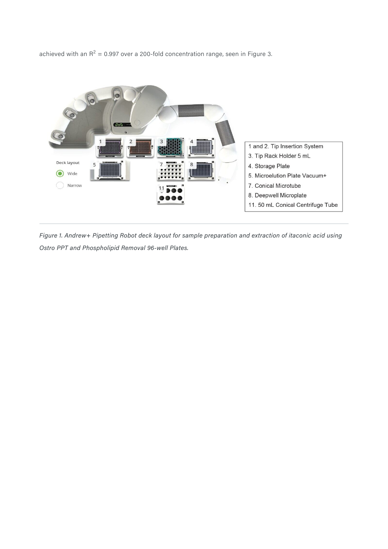achieved with an R<sup>2</sup> = 0.997 over a 200-fold concentration range, seen in Figure 3.



*Figure 1. Andrew+ Pipetting Robot deck layout for sample preparation and extraction of itaconic acid using Ostro PPT and Phospholipid Removal 96-well Plates.*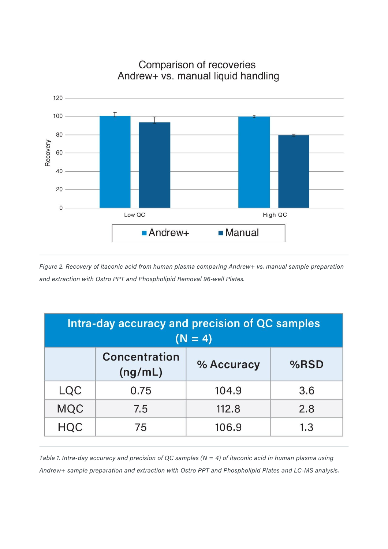

Comparison of recoveries Andrew+ vs. manual liquid handling

*Figure 2. Recovery of itaconic acid from human plasma comparing Andrew+ vs. manual sample preparation and extraction with Ostro PPT and Phospholipid Removal 96-well Plates.* 

| Intra-day accuracy and precision of QC samples<br>$(N = 4)$ |                                 |            |      |
|-------------------------------------------------------------|---------------------------------|------------|------|
|                                                             | <b>Concentration</b><br>(ng/mL) | % Accuracy | %RSD |
| LQC                                                         | 0.75                            | 104.9      | 3.6  |
| <b>MQC</b>                                                  | 7.5                             | 112.8      | 2.8  |
| <b>HQC</b>                                                  | 75                              | 106.9      | 1.3  |

*Table 1. Intra-day accuracy and precision of QC samples (N = 4) of itaconic acid in human plasma using Andrew+ sample preparation and extraction with Ostro PPT and Phospholipid Plates and LC-MS analysis.*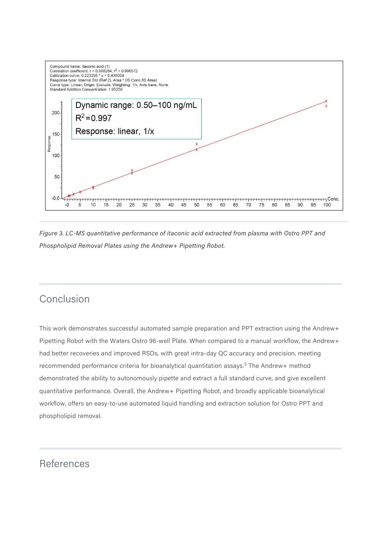

*Figure 3. LC-MS quantitative performance of itaconic acid extracted from plasma with Ostro PPT and Phospholipid Removal Plates using the Andrew+ Pipetting Robot.* 

### Conclusion

This work demonstrates successful automated sample preparation and PPT extraction using the Andrew+ Pipetting Robot with the Waters Ostro 96-well Plate. When compared to a manual workflow, the Andrew+ had better recoveries and improved RSDs, with great intra-day QC accuracy and precision, meeting recommended performance criteria for bioanalytical quantitation assays.<sup>3</sup> The Andrew+ method demonstrated the ability to autonomously pipette and extract a full standard curve, and give excellent quantitative performance. Overall, the Andrew+ Pipetting Robot, and broadly applicable bioanalytical workflow, offers an easy-to-use automated liquid handling and extraction solution for Ostro PPT and phospholipid removal.

### References